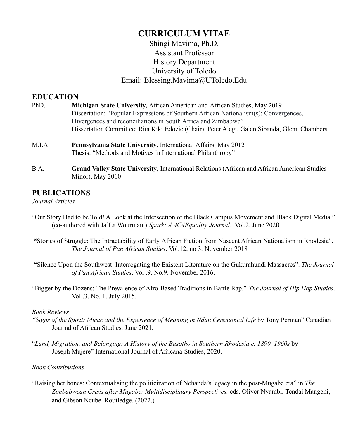# **CURRICULUM VITAE**

# Shingi Mavima, Ph.D. Assistant Professor History Department University of Toledo Email: Blessing.Mavima@UToledo.Edu

# **EDUCATION**

- PhD. **Michigan State University,** African American and African Studies, May 2019 Dissertation: "Popular Expressions of Southern African Nationalism(s): Convergences, Divergences and reconciliations in South Africa and Zimbabwe" Dissertation Committee: Rita Kiki Edozie (Chair), Peter Alegi, Galen Sibanda, Glenn Chambers
- M.I.A. **Pennsylvania State University**, International Affairs, May 2012 Thesis: "Methods and Motives in International Philanthropy"
- B.A. **Grand Valley State University**, International Relations (African and African American Studies Minor), May 2010

# **PUBLICATIONS**

# *Journal Articles*

- "Our Story Had to be Told! A Look at the Intersection of the Black Campus Movement and Black Digital Media." (co-authored with Ja'La Wourman.) *Spark: A 4C4Equality Journal*. Vol.2. June 2020
- **"**Stories of Struggle: The Intractability of Early African Fiction from Nascent African Nationalism in Rhodesia". *The Journal of Pan African Studies*. Vol.12, no 3. November 2018
- **"**Silence Upon the Southwest: Interrogating the Existent Literature on the Gukurahundi Massacres". *The Journal of Pan African Studies*. Vol .9, No.9. November 2016.
- "Bigger by the Dozens: The Prevalence of Afro-Based Traditions in Battle Rap." *The Journal of Hip Hop Studies*. Vol .3. No. 1. July 2015.

# *Book Reviews*

- *"Signs of the Spirit: Music and the Experience of Meaning in Ndau Ceremonial Life* by Tony Perman" Canadian Journal of African Studies, June 2021.
- "*Land, Migration, and Belonging: A History of the Basotho in Southern Rhodesia c. 1890–1960s* by Joseph Mujere" International Journal of Africana Studies, 2020.

# *Book Contributions*

"Raising her bones: Contextualising the politicization of Nehanda's legacy in the post-Mugabe era" in *The Zimbabwean Crisis after Mugabe: Multidisciplinary Perspectives.* eds. Oliver Nyambi, Tendai Mangeni, and Gibson Ncube. Routledge*.* (2022.)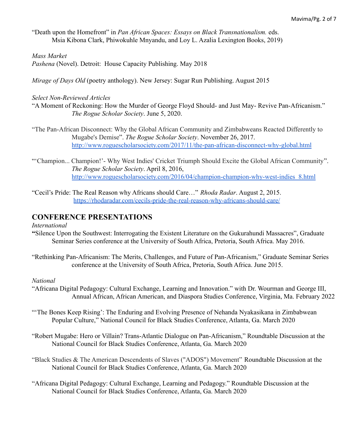"Death upon the Homefront" in *Pan African Spaces: Essays on Black Transnationalism.* eds. Msia Kibona Clark, Phiwokuhle Mnyandu, and Loy L. Azalia Lexington Books, 2019)

#### *Mass Market*

*Pashena* (Novel). Detroit: House Capacity Publishing. May 2018

*Mirage of Days Old* (poetry anthology). New Jersey: Sugar Run Publishing. August 2015

#### *Select Non-Reviewed Articles*

- "A Moment of Reckoning: How the Murder of George Floyd Should- and Just May- Revive Pan-Africanism." *The Rogue Scholar Society*. June 5, 2020.
- "The Pan-African Disconnect: Why the Global African Community and Zimbabweans Reacted Differently to Mugabe's Demise". *The Rogue Scholar Society*. November 26, 2017. <http://www.roguescholarsociety.com/2017/11/the-pan-african-disconnect-why-global.html>
- "'Champion... Champion!'- Why West Indies' Cricket Triumph Should Excite the Global African Community". *The Rogue Scholar Society*. April 8, 2016, [http://www.roguescholarsociety.com/2016/04/champion-champion-why-west-indies\\_8.html](http://www.roguescholarsociety.com/2016/04/champion-champion-why-west-indies_8.html)
- "Cecil's Pride: The Real Reason why Africans should Care…" *Rhoda Radar*. August 2, 2015. <https://rhodaradar.com/cecils-pride-the-real-reason-why-africans-should-care/>

# **CONFERENCE PRESENTATIONS**

*International*

- **"**Silence Upon the Southwest: Interrogating the Existent Literature on the Gukurahundi Massacres", Graduate Seminar Series conference at the University of South Africa, Pretoria, South Africa. May 2016.
- "Rethinking Pan-Africanism: The Merits, Challenges, and Future of Pan-Africanism," Graduate Seminar Series conference at the University of South Africa, Pretoria, South Africa. June 2015.

#### *National*

- "Africana Digital Pedagogy: Cultural Exchange, Learning and Innovation." with Dr. Wourman and George III, Annual African, African American, and Diaspora Studies Conference, Virginia, Ma. February 2022
- "The Bones Keep Rising': The Enduring and Evolving Presence of Nehanda Nyakasikana in Zimbabwean Popular Culture," National Council for Black Studies Conference, Atlanta, Ga. March 2020
- "Robert Mugabe: Hero or Villain? Trans-Atlantic Dialogue on Pan-Africanism," Roundtable Discussion at the National Council for Black Studies Conference, Atlanta, Ga. March 2020
- "Black Studies & The American Descendents of Slaves ("ADOS") Movement" Roundtable Discussion at the National Council for Black Studies Conference, Atlanta, Ga. March 2020
- "Africana Digital Pedagogy: Cultural Exchange, Learning and Pedagogy." Roundtable Discussion at the National Council for Black Studies Conference, Atlanta, Ga. March 2020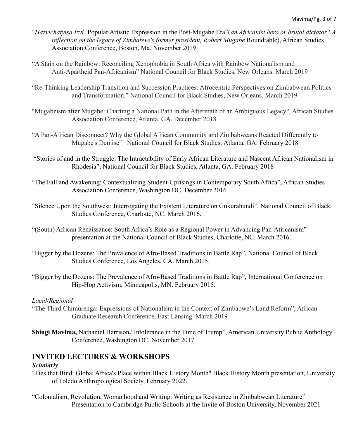- "*Hazvichatyisa Izvi:* Popular Artistic Expression in the Post-Mugabe Era"(*an Africanist hero or brutal dictator? A reflection on the legacy of Zimbabwe's former president, Robert Mugabe* Roundtable), African Studies Association Conference, Boston, Ma. November 2019
- "A Stain on the Rainbow: Reconciling Xenophobia in South Africa with Rainbow Nationalism and Anti-Apartheid Pan-Africanism" National Council for Black Studies, New Orleans. March 2019
- "Re-Thinking Leadership Transition and Succession Practices: Afrocentric Perspectives on Zimbabwean Politics and Transformation." National Council for Black Studies, New Orleans. March 2019
- "Mugabeism after Mugabe: Charting a National Path in the Aftermath of an Ambiguous Legacy", African Studies Association Conference, Atlanta, GA. December 2018
- "A Pan-African Disconnect? Why the Global African Community and Zimbabweans Reacted Differently to Mugabe's Demise `` National Council for Black Studies, Atlanta, GA. February 2018
- "Stories of and in the Struggle: The Intractability of Early African Literature and Nascent African Nationalism in Rhodesia", National Council for Black Studies, Atlanta, GA. February 2018
- "The Fall and Awakening: Contextualizing Student Uprisings in Contemporary South Africa", African Studies Association Conference, Washington DC. December 2016
- "Silence Upon the Southwest: Interrogating the Existent Literature on Gukurahundi", National Council of Black Studies Conference, Charlotte, NC. March 2016.
- "(South) African Renaissance: South Africa's Role as a Regional Power in Advancing Pan-Africanism" presentation at the National Council of Black Studies, Charlotte, NC. March 2016.
- "Bigger by the Dozens: The Prevalence of Afro-Based Traditions in Battle Rap", National Council of Black Studies Conference, Los Angeles, CA. March 2015.
- "Bigger by the Dozens: The Prevalence of Afro-Based Traditions in Battle Rap", International Conference on Hip-Hop Activism, Minneapolis, MN. February 2015.

# *Local/Regional*

- "The Third Chimurenga: Expressions of Nationalism in the Context of Zimbabwe's Land Reform", African Graduate Research Conference, East Lansing. March 2019
- **Shingi Mavima,** Nathaniel Harrison**.**"Intolerance in the Time of Trump", American University Public Anthology Conference, Washington DC. November 2017

# **INVITED LECTURES & WORKSHOPS**

# *Scholarly*

- "Ties that Bind: Global Africa's Place within Black History Month" Black History Month presentation, University of Toledo Anthropological Society, February 2022.
- "Colonialism, Revolution, Womanhood and Writing: Writing as Resistance in Zimbabwean Literature" Presentation to Cambridge Public Schools at the Invite of Boston University, November 2021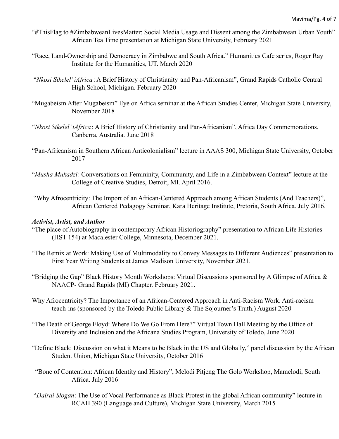- "#ThisFlag to #ZimbabweanLivesMatter: Social Media Usage and Dissent among the Zimbabwean Urban Youth" African Tea Time presentation at Michigan State University, February 2021
- "Race, Land-Ownership and Democracy in Zimbabwe and South Africa." Humanities Cafe series, Roger Ray Institute for the Humanities, UT. March 2020
- "*Nkosi Sikelel' iAfrica*: A Brief History of Christianity and Pan-Africanism", Grand Rapids Catholic Central High School, Michigan. February 2020
- "Mugabeism After Mugabeism" Eye on Africa seminar at the African Studies Center, Michigan State University, November 2018
- "*Nkosi Sikelel' iAfrica*: A Brief History of Christianity and Pan-Africanism", Africa Day Commemorations, Canberra, Australia. June 2018
- "Pan-Africanism in Southern African Anticolonialism" lecture in AAAS 300, Michigan State University, October 2017
- "*Musha Mukadzi:* Conversations on Femininity, Community, and Life in a Zimbabwean Context" lecture at the College of Creative Studies, Detroit, MI. April 2016.
- "Why Afrocentricity: The Import of an African-Centered Approach among African Students (And Teachers)", African Centered Pedagogy Seminar, Kara Heritage Institute, Pretoria, South Africa. July 2016.

### *Activist, Artist, and Author*

- "The place of Autobiography in contemporary African Historiography" presentation to African Life Histories (HST 154) at Macalester College, Minnesota, December 2021.
- "The Remix at Work: Making Use of Multimodality to Convey Messages to Different Audiences" presentation to First Year Writing Students at James Madison University, November 2021.
- "Bridging the Gap" Black History Month Workshops: Virtual Discussions sponsored by A Glimpse of Africa & NAACP- Grand Rapids (MI) Chapter. February 2021.
- Why Afrocentricity? The Importance of an African-Centered Approach in Anti-Racism Work. Anti-racism teach-ins (sponsored by the Toledo Public Library & The Sojourner's Truth.) August 2020
- "The Death of George Floyd: Where Do We Go From Here?" Virtual Town Hall Meeting by the Office of Diversity and Inclusion and the Africana Studies Program, University of Toledo, June 2020
- "Define Black: Discussion on what it Means to be Black in the US and Globally," panel discussion by the African Student Union, Michigan State University, October 2016
- "Bone of Contention: African Identity and History", Melodi Pitjeng The Golo Workshop, Mamelodi, South Africa. July 2016
- "*Dairai Slogan*: The Use of Vocal Performance as Black Protest in the global African community" lecture in RCAH 390 (Language and Culture), Michigan State University, March 2015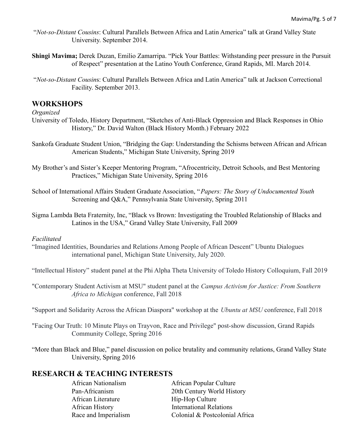- "*Not-so-Distant Cousins*: Cultural Parallels Between Africa and Latin America" talk at Grand Valley State University. September 2014.
- **Shingi Mavima;** Derek Duzan, Emilio Zamarripa. "Pick Your Battles: Withstanding peer pressure in the Pursuit of Respect" presentation at the Latino Youth Conference, Grand Rapids, MI. March 2014.
- "*Not-so-Distant Cousin*s: Cultural Parallels Between Africa and Latin America" talk at Jackson Correctional Facility. September 2013.

# **WORKSHOPS**

### *Organized*

- University of Toledo, History Department, "Sketches of Anti-Black Oppression and Black Responses in Ohio History," Dr. David Walton (Black History Month.) February 2022
- Sankofa Graduate Student Union, "Bridging the Gap: Understanding the Schisms between African and African American Students," Michigan State University, Spring 2019
- My Brother's and Sister's Keeper Mentoring Program, "Afrocentricity, Detroit Schools, and Best Mentoring Practices," Michigan State University, Spring 2016
- School of International Affairs Student Graduate Association, "*Papers: The Story of Undocumented Youth* Screening and Q&A," Pennsylvania State University, Spring 2011
- Sigma Lambda Beta Fraternity, Inc, "Black vs Brown: Investigating the Troubled Relationship of Blacks and Latinos in the USA," Grand Valley State University, Fall 2009

### *Facilitated*

"Imagined Identities, Boundaries and Relations Among People of African Descent" Ubuntu Dialogues international panel, Michigan State University, July 2020.

"Intellectual History" student panel at the Phi Alpha Theta University of Toledo History Colloquium, Fall 2019

"Contemporary Student Activism at MSU" student panel at the *Campus Activism for Justice: From Southern Africa to Michigan* conference, Fall 2018

"Support and Solidarity Across the African Diaspora" workshop at the *Ubuntu at MSU* conference, Fall 2018

- "Facing Our Truth: 10 Minute Plays on Trayvon, Race and Privilege" post-show discussion, Grand Rapids Community College, Spring 2016
- "More than Black and Blue," panel discussion on police brutality and community relations, Grand Valley State University, Spring 2016

# **RESEARCH & TEACHING INTERESTS**

African Literature Hip-Hop Culture

African Nationalism African Popular Culture Pan-Africanism 20th Century World History African History **International Relations** Race and Imperialism Colonial & Postcolonial Africa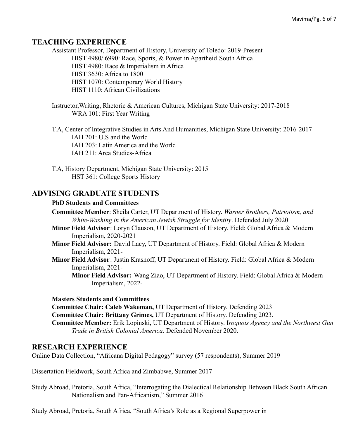# **TEACHING EXPERIENCE**

Assistant Professor, Department of History, University of Toledo: 2019-Present HIST 4980/ 6990: Race, Sports, & Power in Apartheid South Africa HIST 4980: Race & Imperialism in Africa HIST 3630: Africa to 1800 HIST 1070: Contemporary World History HIST 1110: African Civilizations

Instructor,Writing, Rhetoric & American Cultures, Michigan State University: 2017-2018 WRA 101: First Year Writing

T.A, Center of Integrative Studies in Arts And Humanities, Michigan State University: 2016-2017 IAH 201: U.S and the World IAH 203: Latin America and the World IAH 211: Area Studies-Africa

T.A, History Department, Michigan State University: 2015 HST 361: College Sports History

# **ADVISING GRADUATE STUDENTS**

### **PhD Students and Committees**

**Committee Member**: Sheila Carter, UT Department of History. *Warner Brothers, Patriotism, and White-Washing in the American Jewish Struggle for Identity*. Defended July 2020

- **Minor Field Advisor**: Loryn Clauson, UT Department of History. Field: Global Africa & Modern Imperialism, 2020-2021
- **Minor Field Advisor:** David Lacy, UT Department of History. Field: Global Africa & Modern Imperialism, 2021-
- **Minor Field Advisor**: Justin Krasnoff, UT Department of History. Field: Global Africa & Modern Imperialism, 2021-

**Minor Field Advisor:** Wang Ziao, UT Department of History. Field: Global Africa & Modern Imperialism, 2022-

#### **Masters Students and Committees**

**Committee Chair: Caleb Wakeman,** UT Department of History. Defending 2023 **Committee Chair: Brittany Grimes,** UT Department of History. Defending 2023. **Committee Member:** Erik Lopinski, UT Department of History. I*roquois Agency and the Northwest Gun Trade in British Colonial America*. Defended November 2020.

# **RESEARCH EXPERIENCE**

Online Data Collection, "Africana Digital Pedagogy" survey (57 respondents), Summer 2019

Dissertation Fieldwork, South Africa and Zimbabwe, Summer 2017

Study Abroad, Pretoria, South Africa, "Interrogating the Dialectical Relationship Between Black South African Nationalism and Pan-Africanism," Summer 2016

Study Abroad, Pretoria, South Africa, "South Africa's Role as a Regional Superpower in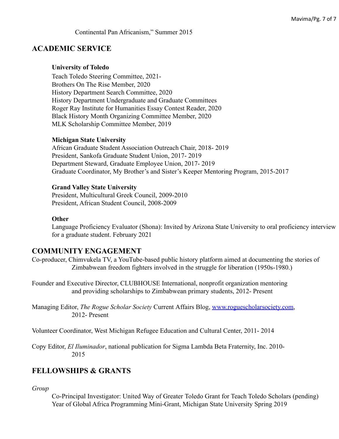#### Continental Pan Africanism," Summer 2015

### **ACADEMIC SERVICE**

#### **University of Toledo**

Teach Toledo Steering Committee, 2021- Brothers On The Rise Member, 2020 History Department Search Committee, 2020 History Department Undergraduate and Graduate Committees Roger Ray Institute for Humanities Essay Contest Reader, 2020 Black History Month Organizing Committee Member, 2020 MLK Scholarship Committee Member, 2019

### **Michigan State University**

African Graduate Student Association Outreach Chair, 2018- 2019 President, Sankofa Graduate Student Union, 2017- 2019 Department Steward, Graduate Employee Union, 2017- 2019 Graduate Coordinator, My Brother's and Sister's Keeper Mentoring Program, 2015-2017

#### **Grand Valley State University**

President, Multicultural Greek Council, 2009-2010 President, African Student Council, 2008-2009

#### **Other**

Language Proficiency Evaluator (Shona): Invited by Arizona State University to oral proficiency interview for a graduate student. February 2021

# **COMMUNITY ENGAGEMENT**

Co-producer, Chimvukela TV, a YouTube-based public history platform aimed at documenting the stories of Zimbabwean freedom fighters involved in the struggle for liberation (1950s-1980.)

Founder and Executive Director, CLUBHOUSE International, nonprofit organization mentoring and providing scholarships to Zimbabwean primary students, 2012- Present

Managing Editor, *The Rogue Scholar Society* Current Affairs Blog, [www.roguescholarsociety.com](http://www.roguescholarsociety.com), 2012- Present

Volunteer Coordinator, West Michigan Refugee Education and Cultural Center, 2011- 2014

Copy Editor, *El Iluminador*, national publication for Sigma Lambda Beta Fraternity, Inc. 2010- 2015

### **FELLOWSHIPS & GRANTS**

#### *Group*

Co-Principal Investigator: United Way of Greater Toledo Grant for Teach Toledo Scholars (pending) Year of Global Africa Programming Mini-Grant, Michigan State University Spring 2019